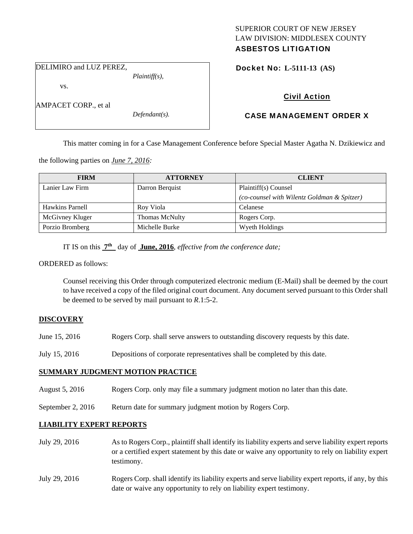## SUPERIOR COURT OF NEW JERSEY LAW DIVISION: MIDDLESEX COUNTY ASBESTOS LITIGATION

DELIMIRO and LUZ PEREZ,

vs.

AMPACET CORP., et al

*Defendant(s).* 

*Plaintiff(s),* 

Docket No: **L-5111-13 (AS)** 

# Civil Action

## CASE MANAGEMENT ORDER X

This matter coming in for a Case Management Conference before Special Master Agatha N. Dzikiewicz and

the following parties on *June 7, 2016:* 

| <b>FIRM</b>     | <b>ATTORNEY</b>       | <b>CLIENT</b>                               |
|-----------------|-----------------------|---------------------------------------------|
| Lanier Law Firm | Darron Berquist       | Plaintiff(s) Counsel                        |
|                 |                       | (co-counsel with Wilentz Goldman & Spitzer) |
| Hawkins Parnell | Roy Viola             | Celanese                                    |
| McGivney Kluger | <b>Thomas McNulty</b> | Rogers Corp.                                |
| Porzio Bromberg | Michelle Burke        | Wyeth Holdings                              |

IT IS on this **7th** day of **June, 2016**, *effective from the conference date;*

#### ORDERED as follows:

Counsel receiving this Order through computerized electronic medium (E-Mail) shall be deemed by the court to have received a copy of the filed original court document. Any document served pursuant to this Order shall be deemed to be served by mail pursuant to *R*.1:5-2.

### **DISCOVERY**

- June 15, 2016 Rogers Corp. shall serve answers to outstanding discovery requests by this date.
- July 15, 2016 Depositions of corporate representatives shall be completed by this date.

### **SUMMARY JUDGMENT MOTION PRACTICE**

- August 5, 2016 Rogers Corp. only may file a summary judgment motion no later than this date.
- September 2, 2016 Return date for summary judgment motion by Rogers Corp.

### **LIABILITY EXPERT REPORTS**

- July 29, 2016 As to Rogers Corp., plaintiff shall identify its liability experts and serve liability expert reports or a certified expert statement by this date or waive any opportunity to rely on liability expert testimony.
- July 29, 2016 Rogers Corp. shall identify its liability experts and serve liability expert reports, if any, by this date or waive any opportunity to rely on liability expert testimony.